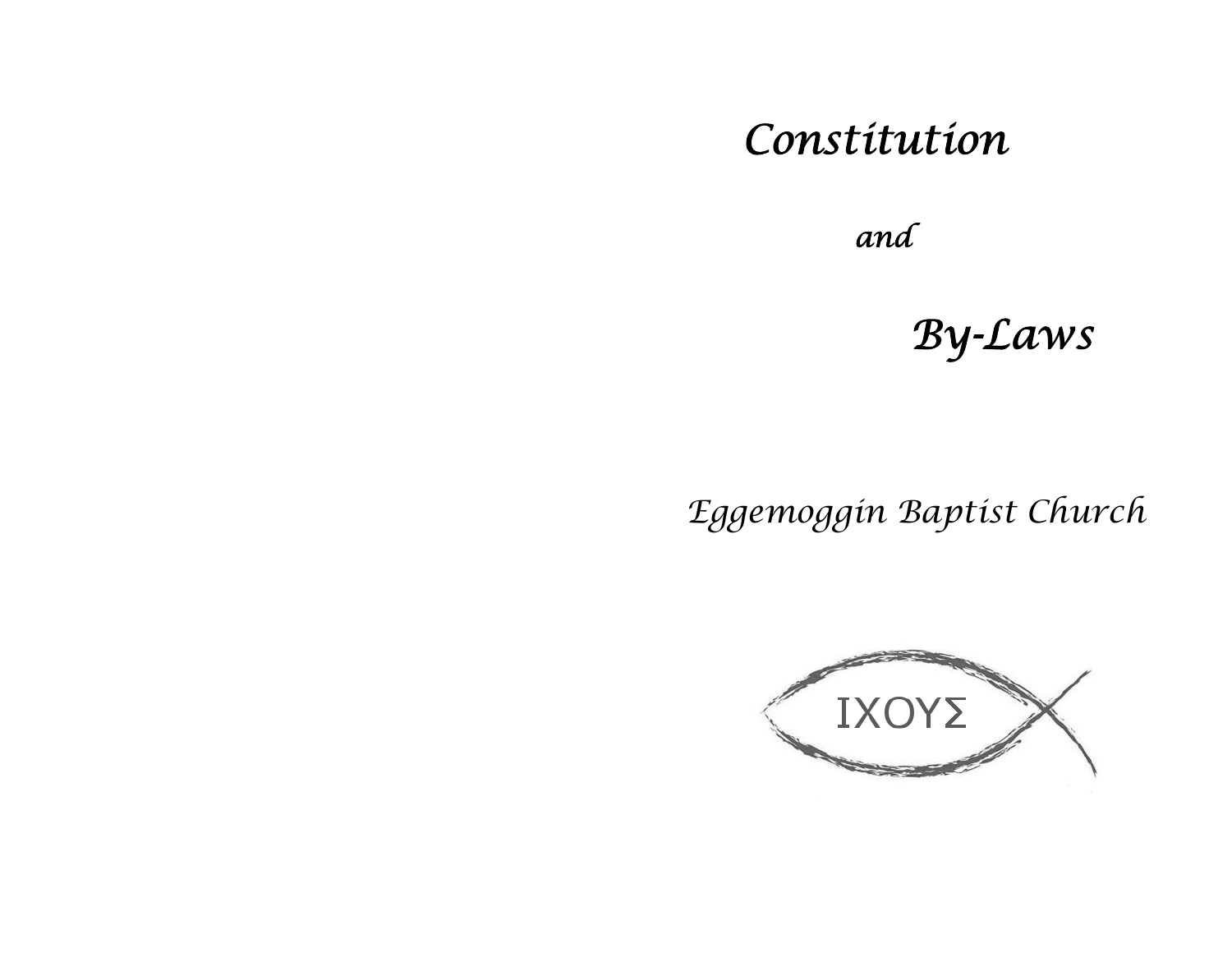# *Constitution*

 *and*

*By-Laws* 

*Eggemoggin Baptist Church* 

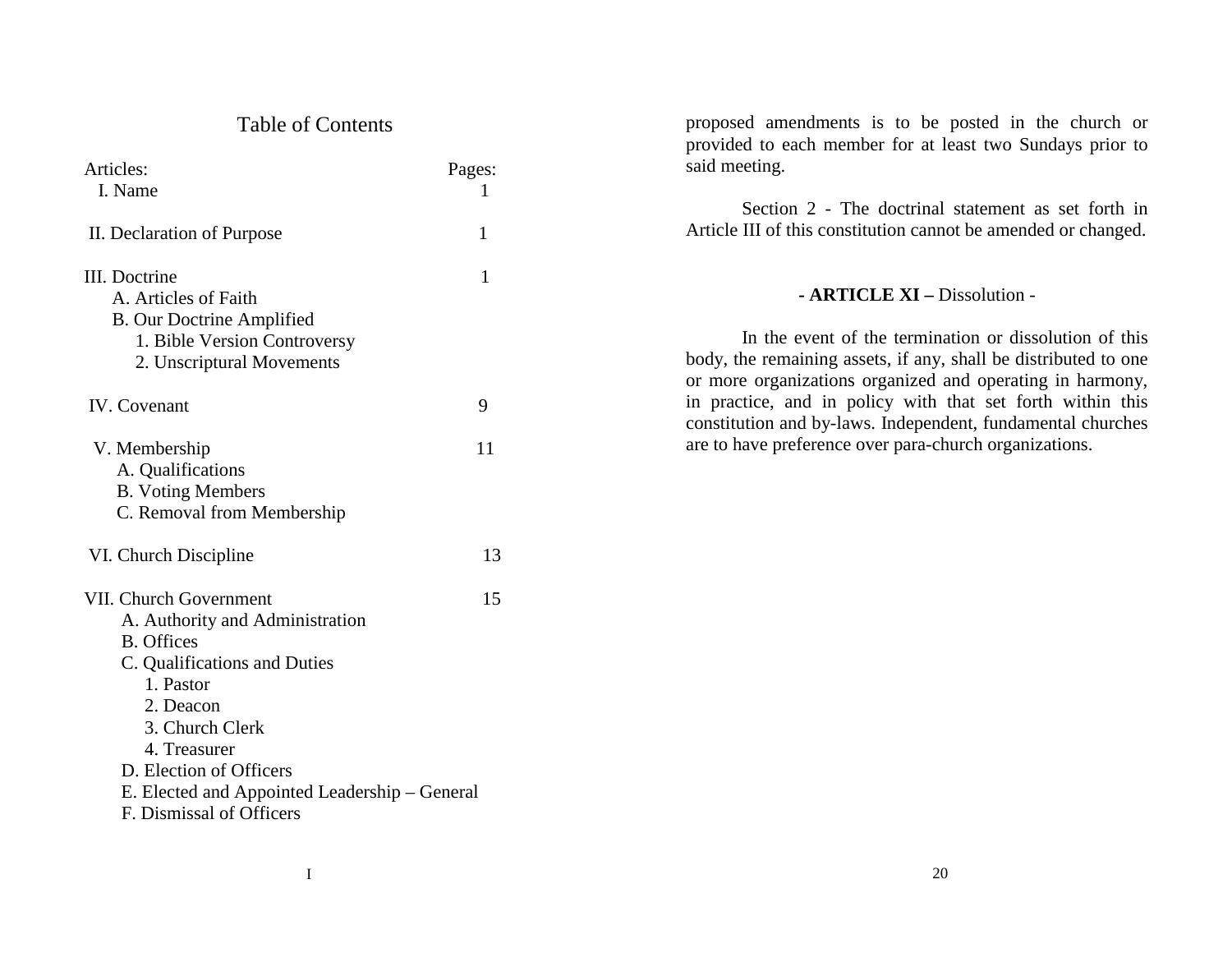# Table of Contents

| Articles:                                     | Pages: |
|-----------------------------------------------|--------|
| I. Name                                       | L      |
| II. Declaration of Purpose                    | 1      |
| III. Doctrine                                 | 1      |
| A. Articles of Faith                          |        |
| <b>B.</b> Our Doctrine Amplified              |        |
| 1. Bible Version Controversy                  |        |
| 2. Unscriptural Movements                     |        |
| <b>IV.</b> Covenant                           | 9      |
| V. Membership                                 | 11     |
| A. Qualifications                             |        |
| <b>B.</b> Voting Members                      |        |
| C. Removal from Membership                    |        |
| VI. Church Discipline                         | 13     |
| VII. Church Government                        | 15     |
| A. Authority and Administration               |        |
| <b>B.</b> Offices                             |        |
| C. Qualifications and Duties                  |        |
| 1. Pastor                                     |        |
| 2. Deacon                                     |        |
| 3. Church Clerk                               |        |
| 4. Treasurer                                  |        |
| D. Election of Officers                       |        |
| E. Elected and Appointed Leadership – General |        |
| F. Dismissal of Officers                      |        |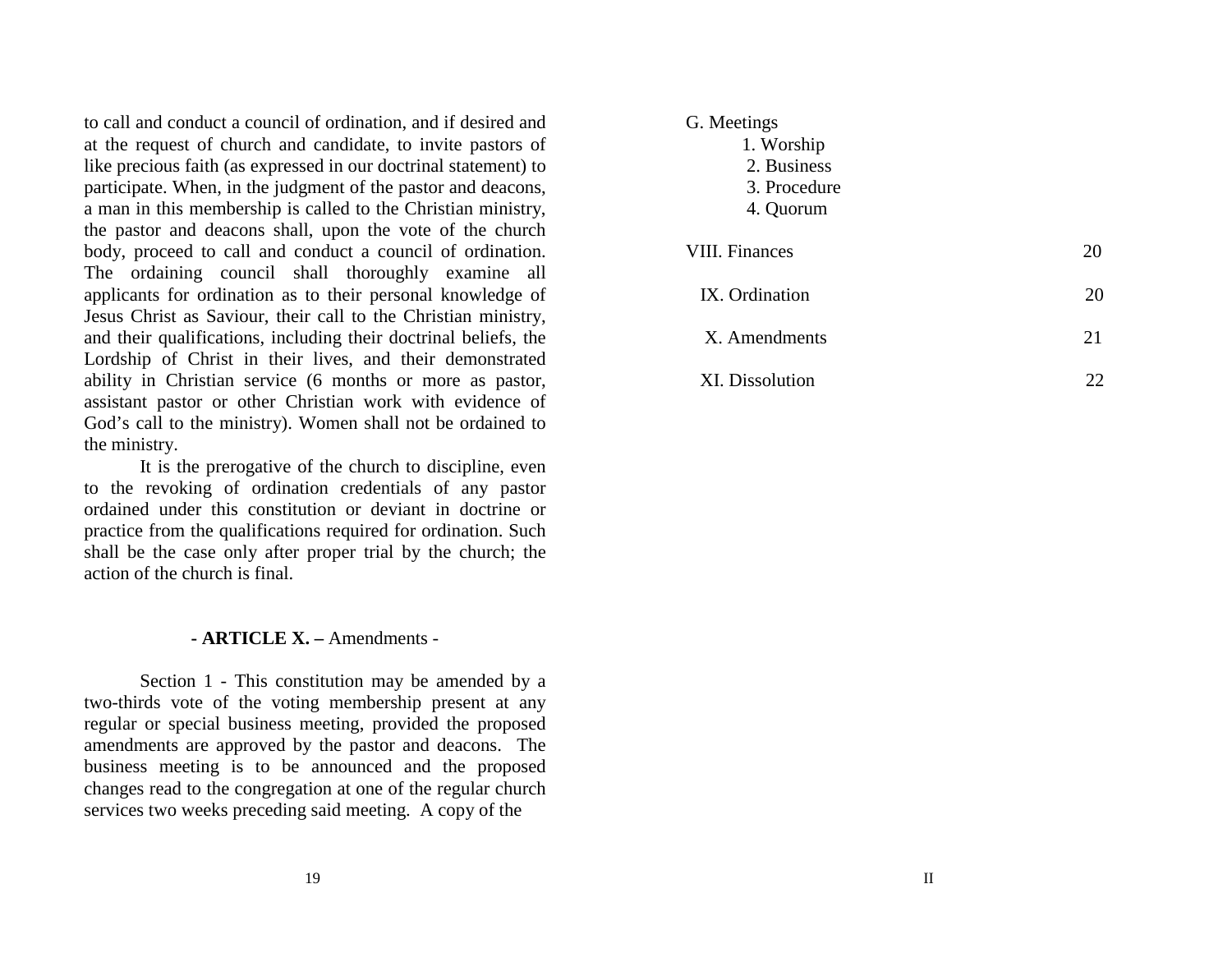G. Meetings

- 1. Worship
- 2. Business
- 3. Procedure
	- 4. Quorum

| <b>VIII. Finances</b> |    |
|-----------------------|----|
| IX. Ordination        | 20 |
| X. Amendments         | 21 |
| XI. Dissolution       |    |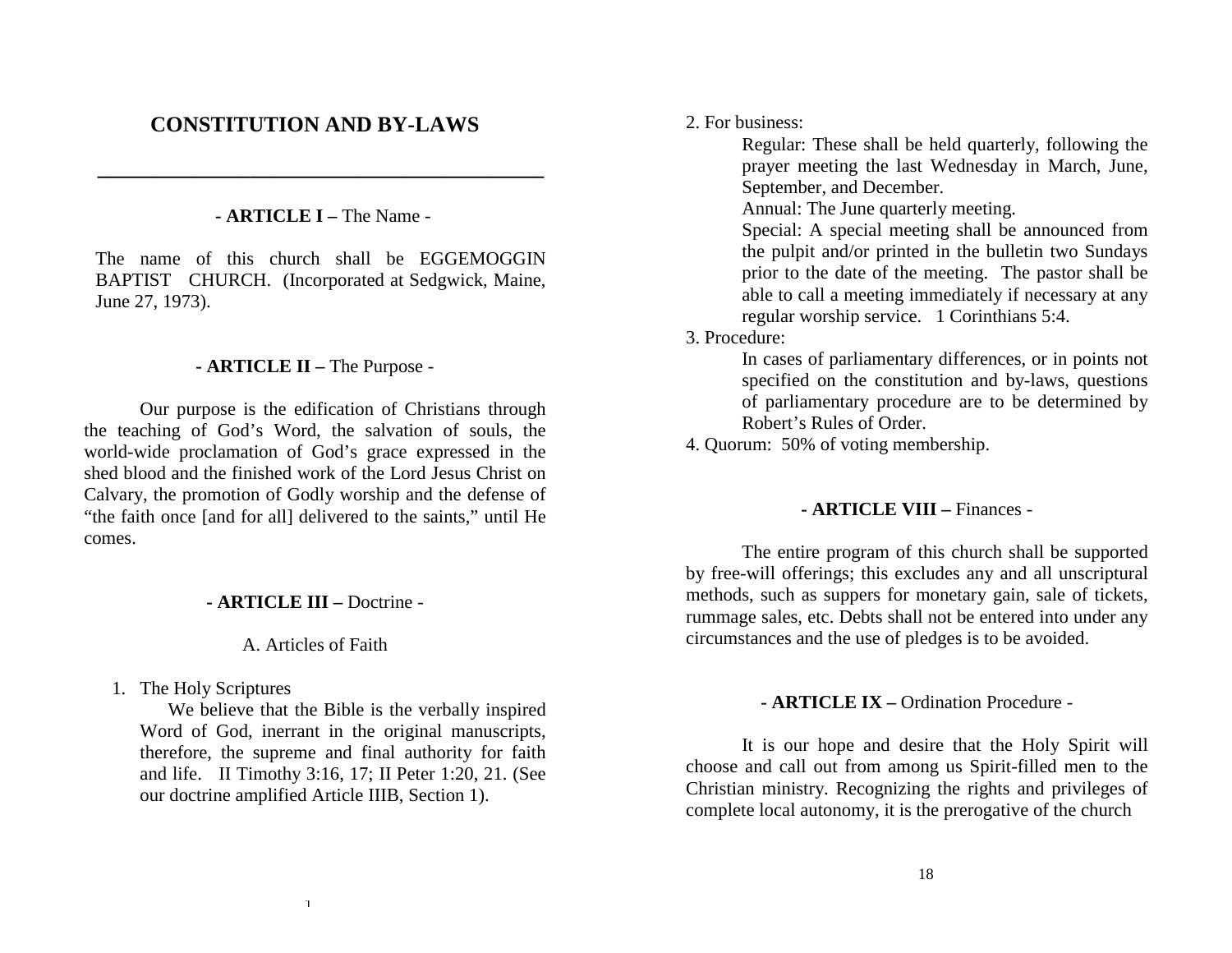# **CONSTITUTION AND BY-LAWS**

## **- ARTICLE I –** The Name -

**\_\_\_\_\_\_\_\_\_\_\_\_\_\_\_\_\_\_\_\_\_\_\_\_\_\_\_\_\_\_\_\_\_\_\_\_\_\_\_\_\_** 

The name of this church shall be EGGEMOGGIN BAPTIST CHURCH. (Incorporated at Sedgwick, Maine, June 27, 1973).

## **- ARTICLE II –** The Purpose -

 Our purpose is the edification of Christians through the teaching of God's Word, the salvation of souls, the world-wide proclamation of God's grace expressed in the shed blood and the finished work of the Lord Jesus Christ on Calvary, the promotion of Godly worship and the defense of "the faith once [and for all] delivered to the saints," until He comes.

#### **- ARTICLE III –** Doctrine -

A. Articles of Faith

1. The Holy Scriptures

We believe that the Bible is the verbally inspired Word of God, inerrant in the original manuscripts, therefore, the supreme and final authority for faith and life. II Timothy 3:16, 17; II Peter 1:20, 21. (See our doctrine amplified Article IIIB, Section 1).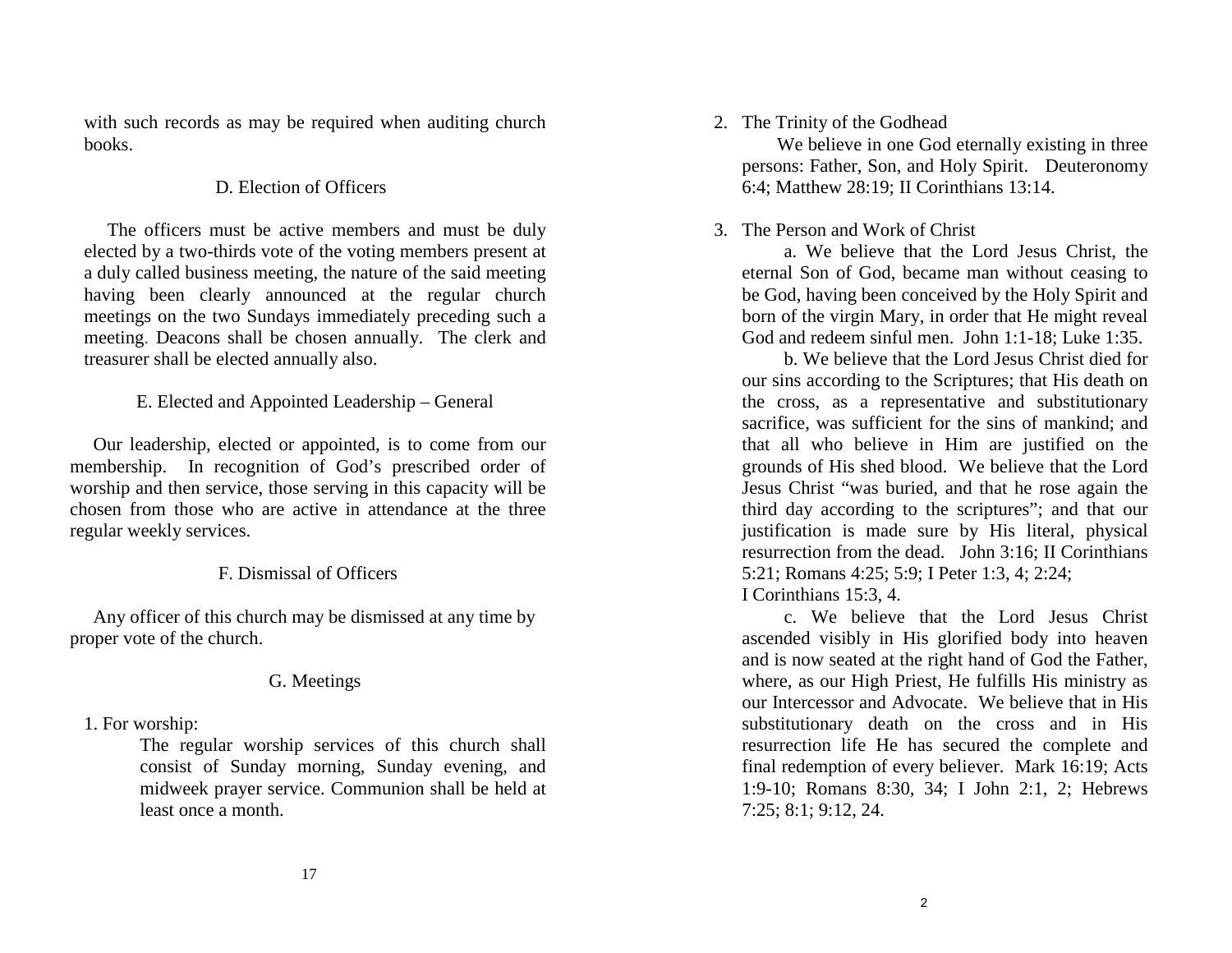## 2. The Trinity of the Godhead

We believe in one God eternally existing in three persons: Father, Son, and Holy Spirit. Deuteronomy 6:4; Matthew 28:19; II Corinthians 13:14.

## 3. The Person and Work of Christ

 a. We believe that the Lord Jesus Christ, the eternal Son of God, became man without ceasing to be God, having been conceived by the Holy Spirit and born of the virgin Mary, in order that He might reveal God and redeem sinful men. John 1:1-18; Luke 1:35.

 b. We believe that the Lord Jesus Christ died for our sins according to the Scriptures; that His death on the cross, as a representative and substitutionary sacrifice, was sufficient for the sins of mankind; and that all who believe in Him are justified on the grounds of His shed blood. We believe that the Lord Jesus Christ "was buried, and that he rose again the third day according to the scriptures"; and that our justification is made sure by His literal, physical resurrection from the dead. John 3:16; II Corinthians 5:21; Romans 4:25; 5:9; I Peter 1:3, 4; 2:24; I Corinthians 15:3, 4.

c. We believe that the Lord Jesus Christ ascended visibly in His glorified body into heaven and is now seated at the right hand of God the Father, where, as our High Priest, He fulfills His ministry as our Intercessor and Advocate. We believe that in His substitutionary death on the cross and in His resurrection life He has secured the complete and final redemption of every believer. Mark 16:19; Acts 1:9-10; Romans 8:30, 34; I John 2:1, 2; Hebrews 7:25; 8:1; 9:12, 24.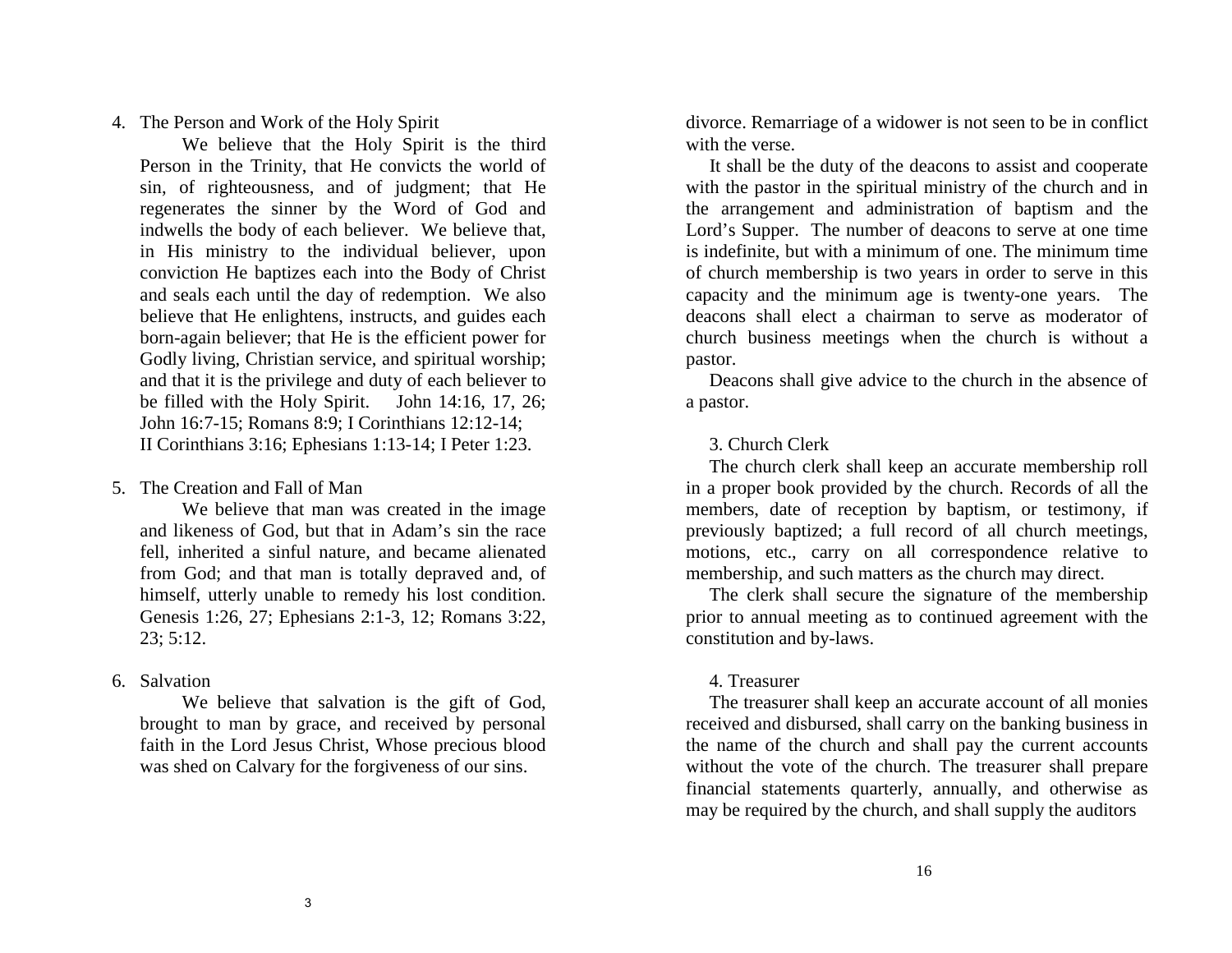4. The Person and Work of the Holy Spirit

 We believe that the Holy Spirit is the third Person in the Trinity, that He convicts the world of sin, of righteousness, and of judgment; that He regenerates the sinner by the Word of God and indwells the body of each believer. We believe that, in His ministry to the individual believer, upon conviction He baptizes each into the Body of Christ and seals each until the day of redemption. We also believe that He enlightens, instructs, and guides each born-again believer; that He is the efficient power for Godly living, Christian service, and spiritual worship; and that it is the privilege and duty of each believer to be filled with the Holy Spirit. John 14:16, 17, 26; John 16:7-15; Romans 8:9; I Corinthians 12:12-14; II Corinthians 3:16; Ephesians 1:13-14; I Peter 1:23.

5. The Creation and Fall of Man

 We believe that man was created in the image and likeness of God, but that in Adam's sin the race fell, inherited a sinful nature, and became alienated from God; and that man is totally depraved and, of himself, utterly unable to remedy his lost condition. Genesis 1:26, 27; Ephesians 2:1-3, 12; Romans 3:22, 23; 5:12.

6. Salvation

We believe that salvation is the gift of God, brought to man by grace, and received by personal faith in the Lord Jesus Christ, Whose precious blood was shed on Calvary for the forgiveness of our sins.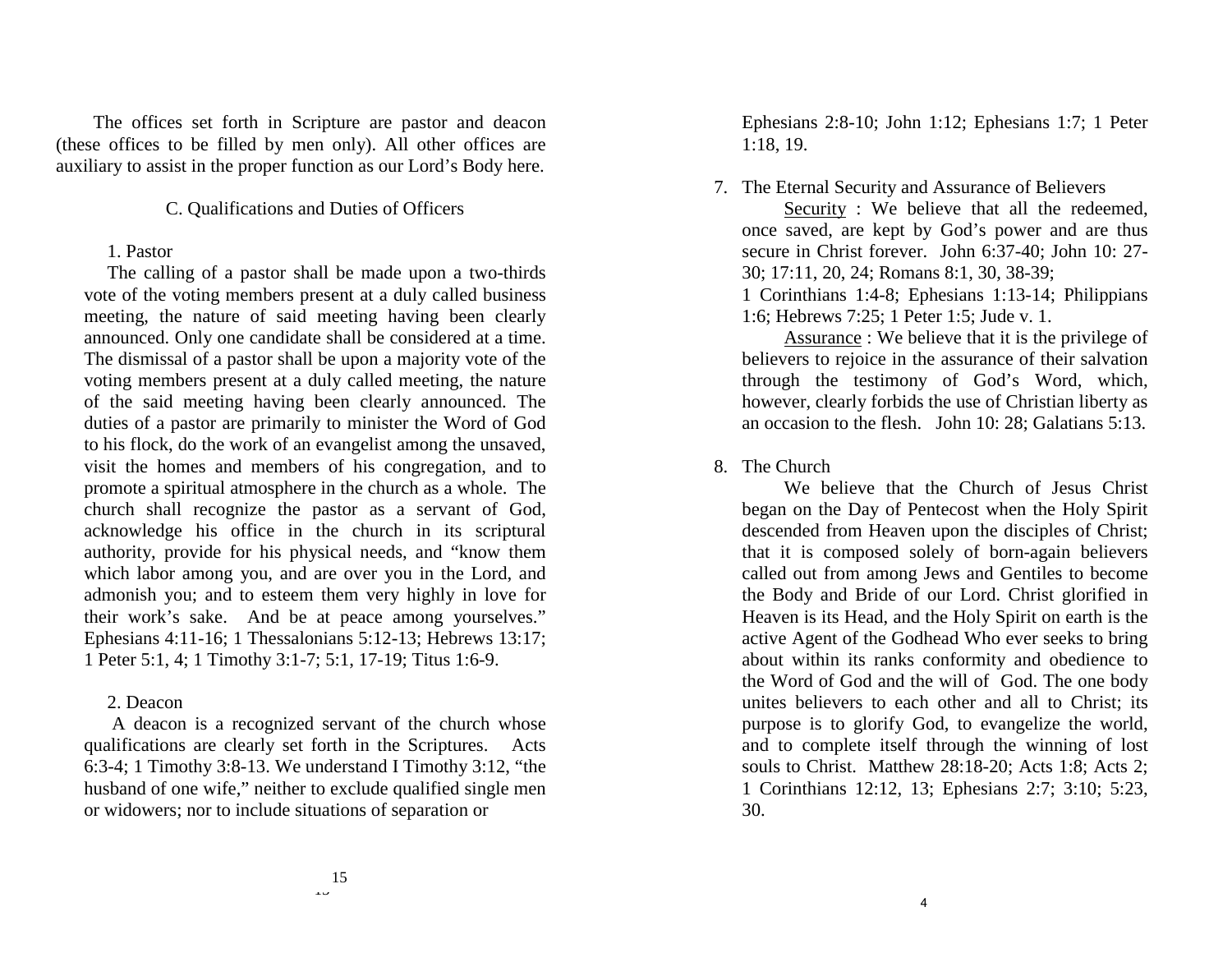Ephesians 2:8-10; John 1:12; Ephesians 1:7; 1 Peter 1:18, 19.

7. The Eternal Security and Assurance of Believers

Security : We believe that all the redeemed, once saved, are kept by God's power and are thus secure in Christ forever. John 6:37-40; John 10: 27- 30; 17:11, 20, 24; Romans 8:1, 30, 38-39;

1 Corinthians 1:4-8; Ephesians 1:13-14; Philippians 1:6; Hebrews 7:25; 1 Peter 1:5; Jude v. 1.

 Assurance : We believe that it is the privilege of believers to rejoice in the assurance of their salvation through the testimony of God's Word, which, however, clearly forbids the use of Christian liberty as an occasion to the flesh. John 10: 28; Galatians 5:13.

8. The Church

 We believe that the Church of Jesus Christ began on the Day of Pentecost when the Holy Spirit descended from Heaven upon the disciples of Christ; that it is composed solely of born-again believers called out from among Jews and Gentiles to become the Body and Bride of our Lord. Christ glorified in Heaven is its Head, and the Holy Spirit on earth is the active Agent of the Godhead Who ever seeks to bring about within its ranks conformity and obedience to the Word of God and the will of God. The one body unites believers to each other and all to Christ; its purpose is to glorify God, to evangelize the world, and to complete itself through the winning of lost souls to Christ. Matthew 28:18-20; Acts 1:8; Acts 2; 1 Corinthians 12:12, 13; Ephesians 2:7; 3:10; 5:23, 30.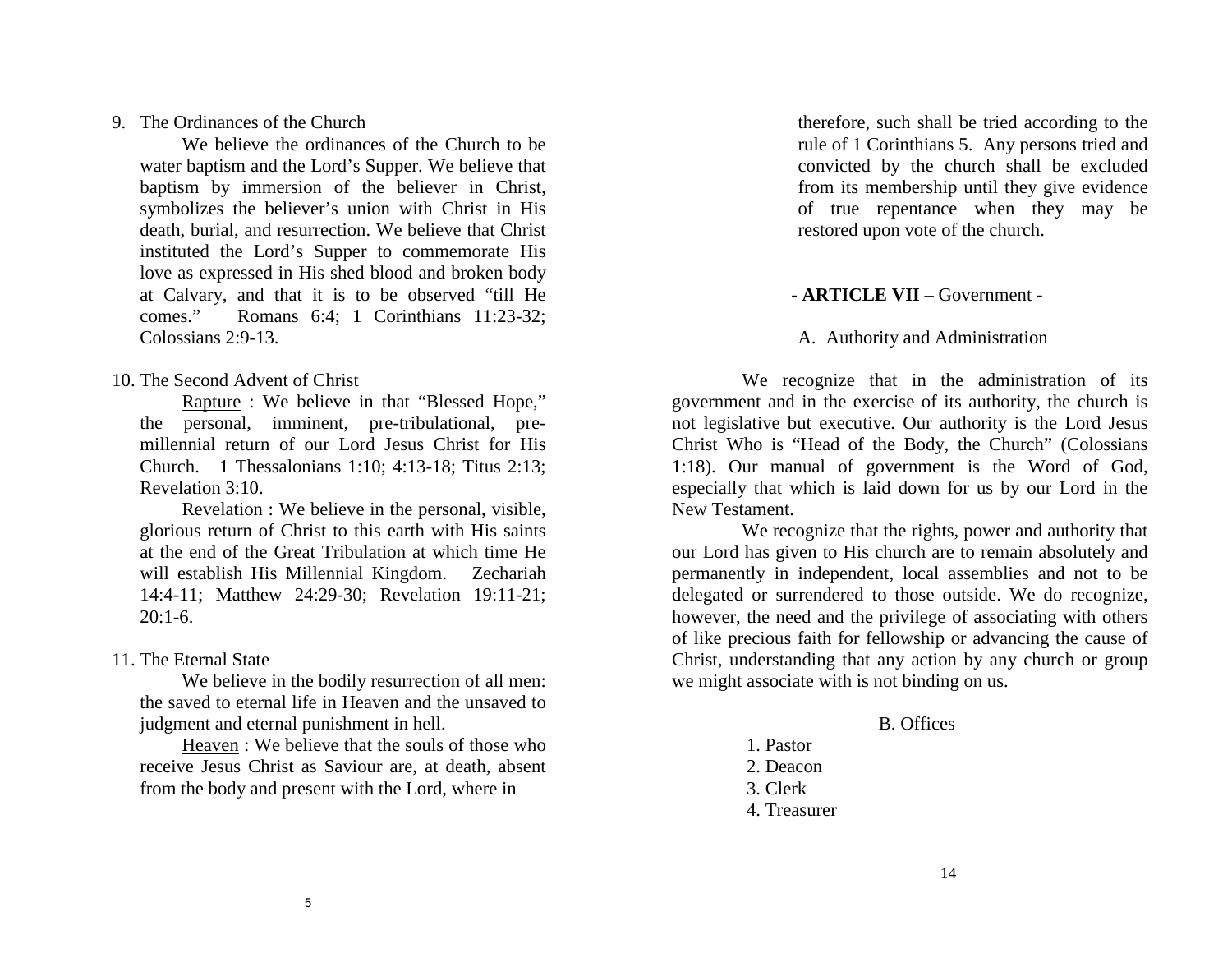9. The Ordinances of the Church

 We believe the ordinances of the Church to be water baptism and the Lord's Supper. We believe that baptism by immersion of the believer in Christ, symbolizes the believer's union with Christ in His death, burial, and resurrection. We believe that Christ instituted the Lord's Supper to commemorate His love as expressed in His shed blood and broken body at Calvary, and that it is to be observed "till He comes." Romans 6:4; 1 Corinthians 11:23-32; Colossians 2:9-13.

10. The Second Advent of Christ

 Rapture : We believe in that "Blessed Hope," the personal, imminent, pre-tribulational, premillennial return of our Lord Jesus Christ for His Church. 1 Thessalonians 1:10; 4:13-18; Titus 2:13; Revelation 3:10.

 Revelation : We believe in the personal, visible, glorious return of Christ to this earth with His saints at the end of the Great Tribulation at which time He will establish His Millennial Kingdom. Zechariah 14:4-11; Matthew 24:29-30; Revelation 19:11-21;  $20:1-6.$ 

11. The Eternal State

 We believe in the bodily resurrection of all men: the saved to eternal life in Heaven and the unsaved to judgment and eternal punishment in hell.

Heaven : We believe that the souls of those who receive Jesus Christ as Saviour are, at death, absent from the body and present with the Lord, where in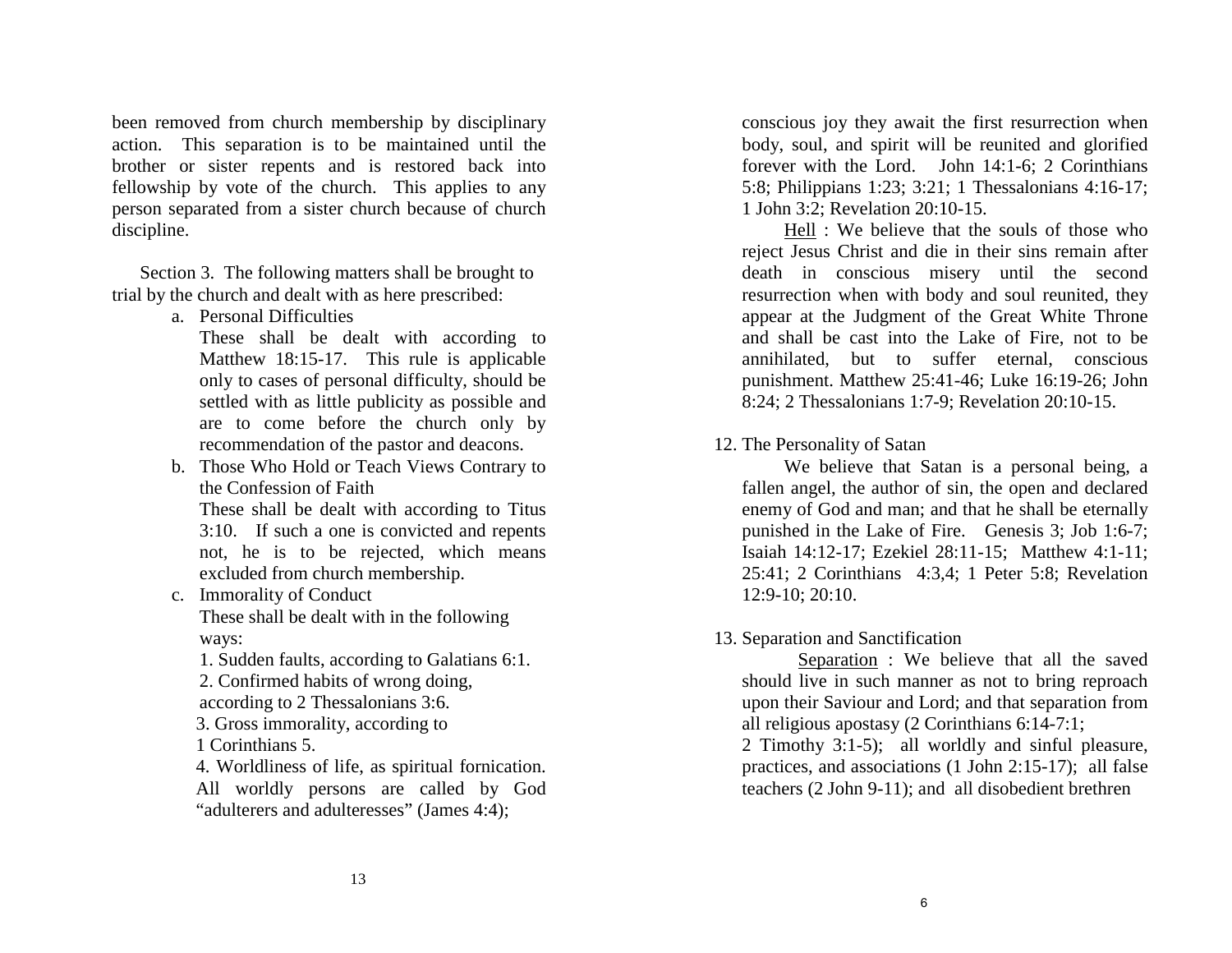conscious joy they await the first resurrection when body, soul, and spirit will be reunited and glorified forever with the Lord. John 14:1-6; 2 Corinthians 5:8; Philippians 1:23; 3:21; 1 Thessalonians 4:16-17; 1 John 3:2; Revelation 20:10-15.

 Hell : We believe that the souls of those who reject Jesus Christ and die in their sins remain after death in conscious misery until the second resurrection when with body and soul reunited, they appear at the Judgment of the Great White Throne and shall be cast into the Lake of Fire, not to be annihilated, but to suffer eternal, conscious punishment. Matthew 25:41-46; Luke 16:19-26; John 8:24; 2 Thessalonians 1:7-9; Revelation 20:10-15.

12. The Personality of Satan

 We believe that Satan is a personal being, a fallen angel, the author of sin, the open and declared enemy of God and man; and that he shall be eternally punished in the Lake of Fire. Genesis 3; Job 1:6-7; Isaiah 14:12-17; Ezekiel 28:11-15; Matthew 4:1-11; 25:41; 2 Corinthians 4:3,4; 1 Peter 5:8; Revelation 12:9-10; 20:10.

13. Separation and Sanctification

Separation : We believe that all the saved should live in such manner as not to bring reproach upon their Saviour and Lord; and that separation from all religious apostasy (2 Corinthians 6:14-7:1;

2 Timothy 3:1-5); all worldly and sinful pleasure, practices, and associations (1 John 2:15-17); all false teachers (2 John 9-11); and all disobedient brethren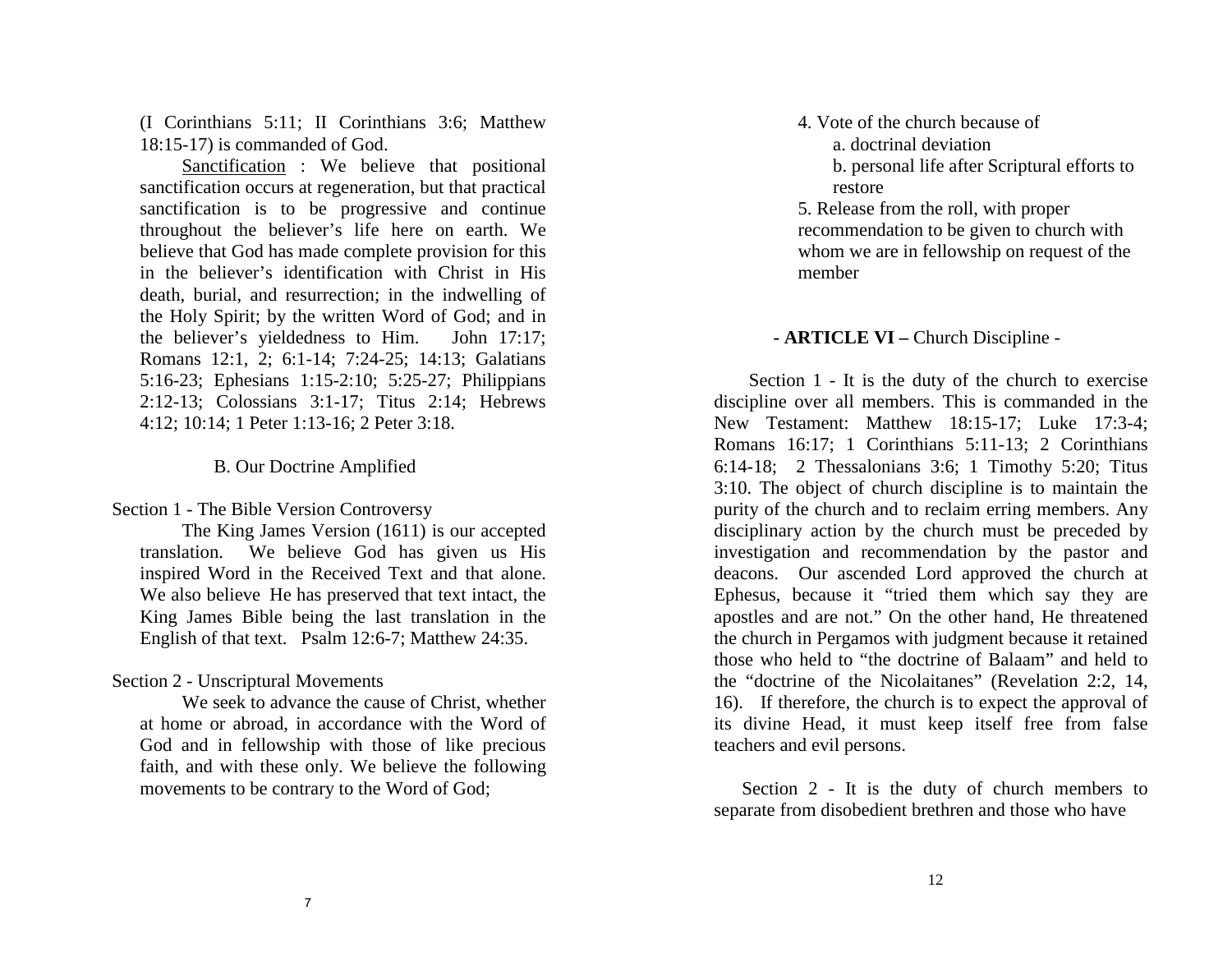(I Corinthians 5:11; II Corinthians 3:6; Matthew 18:15-17) is commanded of God.

 Sanctification : We believe that positional sanctification occurs at regeneration, but that practical sanctification is to be progressive and continue throughout the believer's life here on earth. We believe that God has made complete provision for this in the believer's identification with Christ in His death, burial, and resurrection; in the indwelling of the Holy Spirit; by the written Word of God; and in the believer's yieldedness to Him. John 17:17; Romans 12:1, 2; 6:1-14; 7:24-25; 14:13; Galatians 5:16-23; Ephesians 1:15-2:10; 5:25-27; Philippians 2:12-13; Colossians 3:1-17; Titus 2:14; Hebrews 4:12; 10:14; 1 Peter 1:13-16; 2 Peter 3:18.

#### B. Our Doctrine Amplified

Section 1 - The Bible Version Controversy

 The King James Version (1611) is our accepted translation. We believe God has given us His inspired Word in the Received Text and that alone. We also believe He has preserved that text intact, the King James Bible being the last translation in the English of that text. Psalm 12:6-7; Matthew 24:35.

Section 2 - Unscriptural Movements

We seek to advance the cause of Christ, whether at home or abroad, in accordance with the Word of God and in fellowship with those of like precious faith, and with these only. We believe the following movements to be contrary to the Word of God;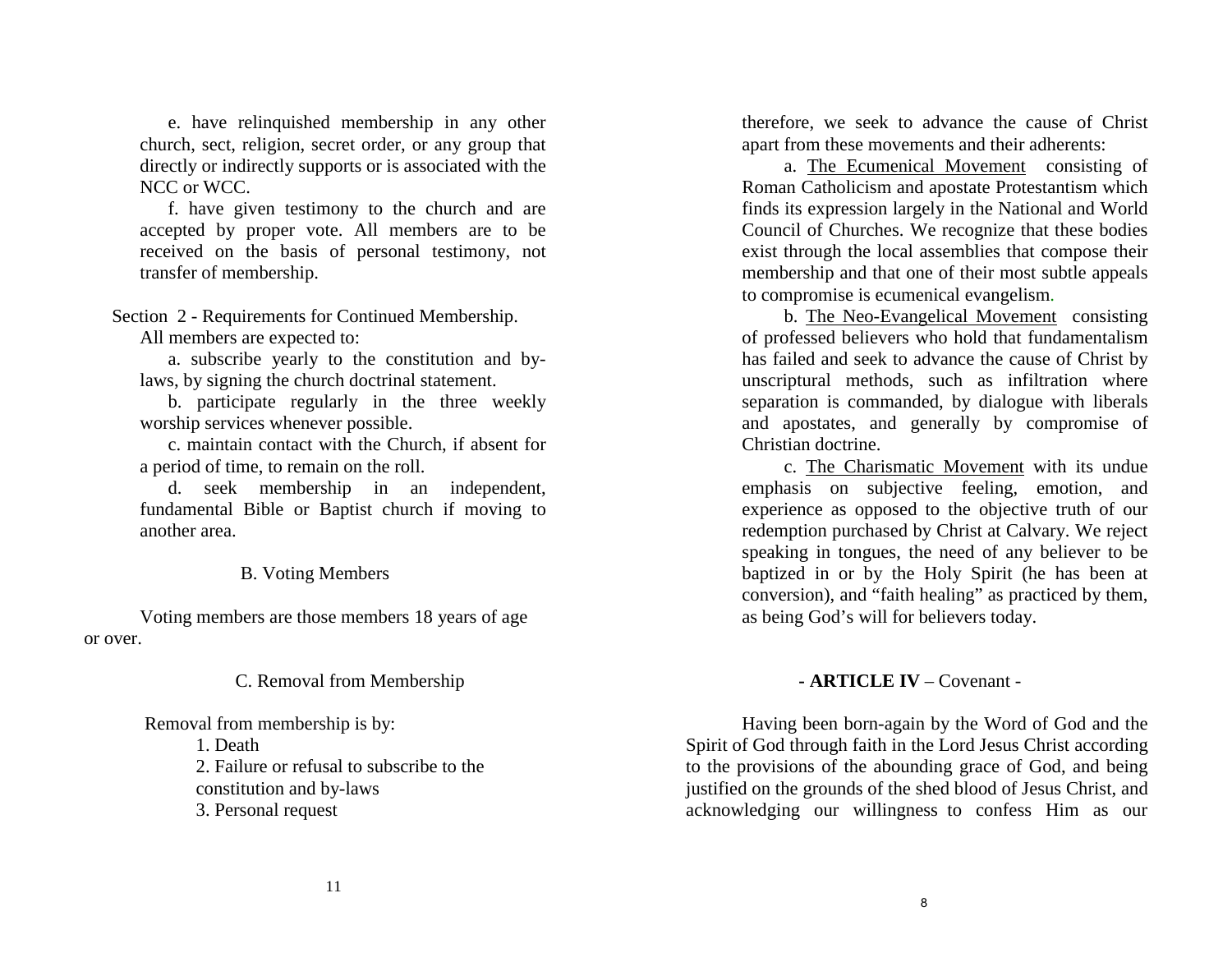therefore, we seek to advance the cause of Christ apart from these movements and their adherents:

 a. The Ecumenical Movement consisting of Roman Catholicism and apostate Protestantism which finds its expression largely in the National and World Council of Churches. We recognize that these bodies exist through the local assemblies that compose their membership and that one of their most subtle appeals to compromise is ecumenical evangelism.

 b. The Neo-Evangelical Movement consisting of professed believers who hold that fundamentalism has failed and seek to advance the cause of Christ by unscriptural methods, such as infiltration where separation is commanded, by dialogue with liberals and apostates, and generally by compromise of Christian doctrine.

 c. The Charismatic Movement with its undue emphasis on subjective feeling, emotion, and experience as opposed to the objective truth of our redemption purchased by Christ at Calvary. We reject speaking in tongues, the need of any believer to be baptized in or by the Holy Spirit (he has been at conversion), and "faith healing" as practiced by them, as being God's will for believers today.

## **- ARTICLE IV** – Covenant -

Having been born-again by the Word of God and the Spirit of God through faith in the Lord Jesus Christ according to the provisions of the abounding grace of God, and being justified on the grounds of the shed blood of Jesus Christ, and acknowledging our willingness to confess Him as our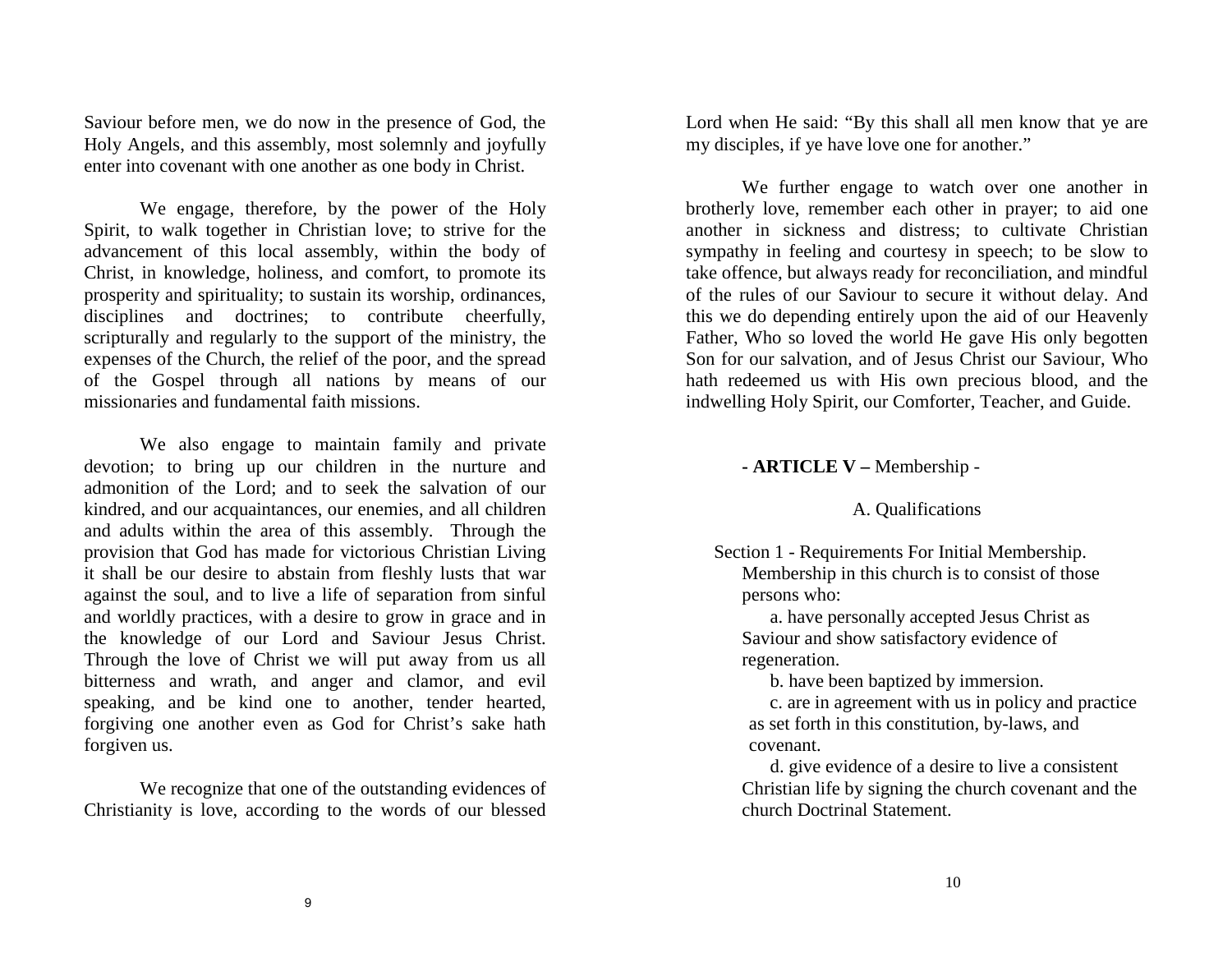Saviour before men, we do now in the presence of God, the Holy Angels, and this assembly, most solemnly and joyfully enter into covenant with one another as one body in Christ.

We engage, therefore, by the power of the Holy Spirit, to walk together in Christian love; to strive for the advancement of this local assembly, within the body of Christ, in knowledge, holiness, and comfort, to promote its prosperity and spirituality; to sustain its worship, ordinances, disciplines and doctrines; to contribute cheerfully, scripturally and regularly to the support of the ministry, the expenses of the Church, the relief of the poor, and the spread of the Gospel through all nations by means of our missionaries and fundamental faith missions.

We also engage to maintain family and private devotion; to bring up our children in the nurture and admonition of the Lord; and to seek the salvation of our kindred, and our acquaintances, our enemies, and all children and adults within the area of this assembly. Through the provision that God has made for victorious Christian Living it shall be our desire to abstain from fleshly lusts that war against the soul, and to live a life of separation from sinful and worldly practices, with a desire to grow in grace and in the knowledge of our Lord and Saviour Jesus Christ. Through the love of Christ we will put away from us all bitterness and wrath, and anger and clamor, and evil speaking, and be kind one to another, tender hearted, forgiving one another even as God for Christ's sake hath forgiven us.

We recognize that one of the outstanding evidences of Christianity is love, according to the words of our blessed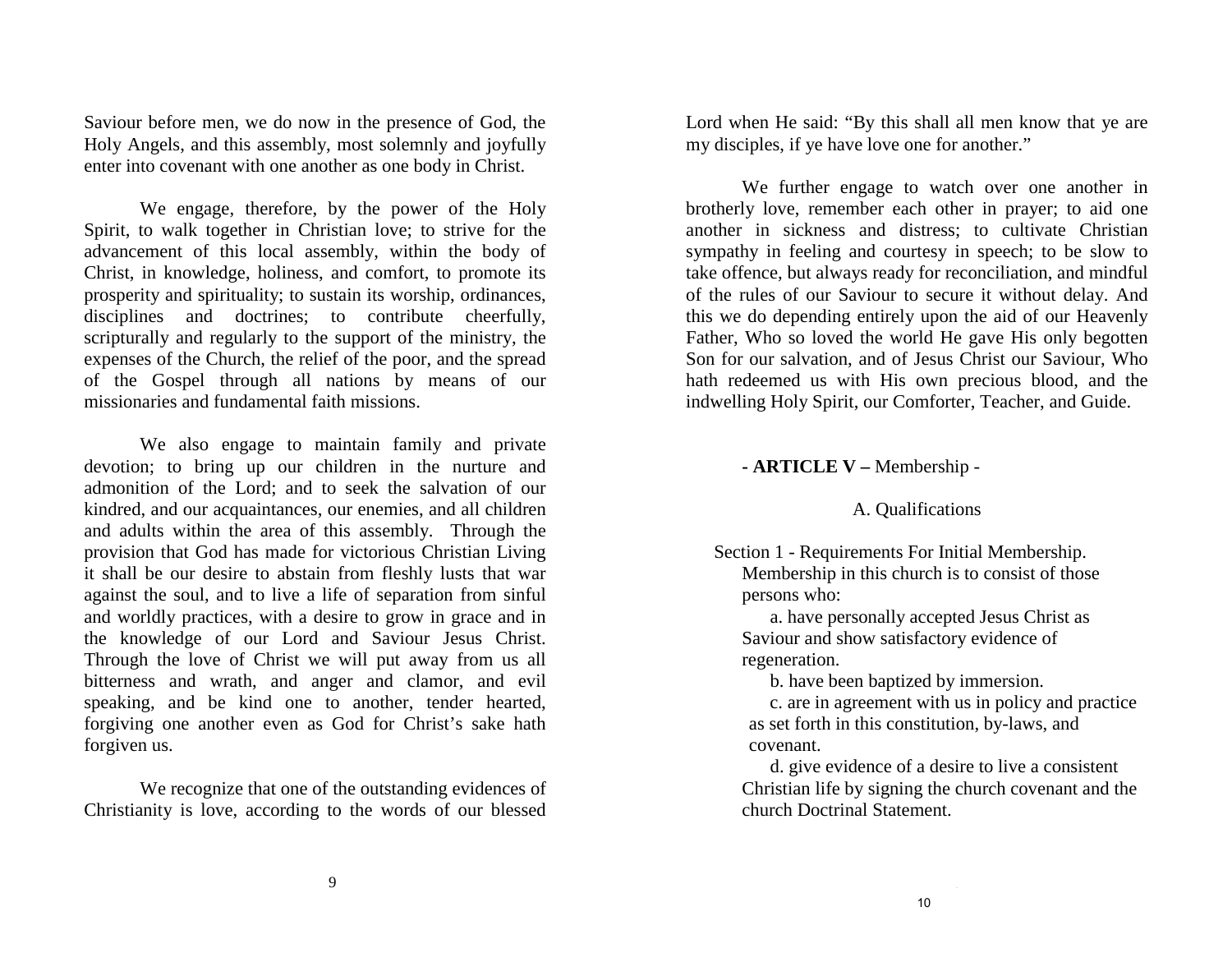Lord when He said: "By this shall all men know that ye are my disciples, if ye have love one for another."

We further engage to watch over one another in brotherly love, remember each other in prayer; to aid one another in sickness and distress; to cultivate Christian sympathy in feeling and courtesy in speech; to be slow to take offence, but always ready for reconciliation, and mindful of the rules of our Saviour to secure it without delay. And this we do depending entirely upon the aid of our Heavenly Father, Who so loved the world He gave His only begotten Son for our salvation, and of Jesus Christ our Saviour, Who hath redeemed us with His own precious blood, and the indwelling Holy Spirit, our Comforter, Teacher, and Guide.

#### **- ARTICLE V –** Membership -

## A. Qualifications

Section 1 - Requirements For Initial Membership. Membership in this church is to consist of those

persons who:

e de la constitución de la constitución de la constitución de la constitución de la constitución de la constit<br>1990 - En el constitución de la constitución de la constitución de la constitución de la constitución de la co

 a. have personally accepted Jesus Christ as Saviour and show satisfactory evidence of regeneration.

b. have been baptized by immersion.

 c. are in agreement with us in policy and practice as set forth in this constitution, by-laws, and covenant.

 d. give evidence of a desire to live a consistent Christian life by signing the church covenant and the church Doctrinal Statement.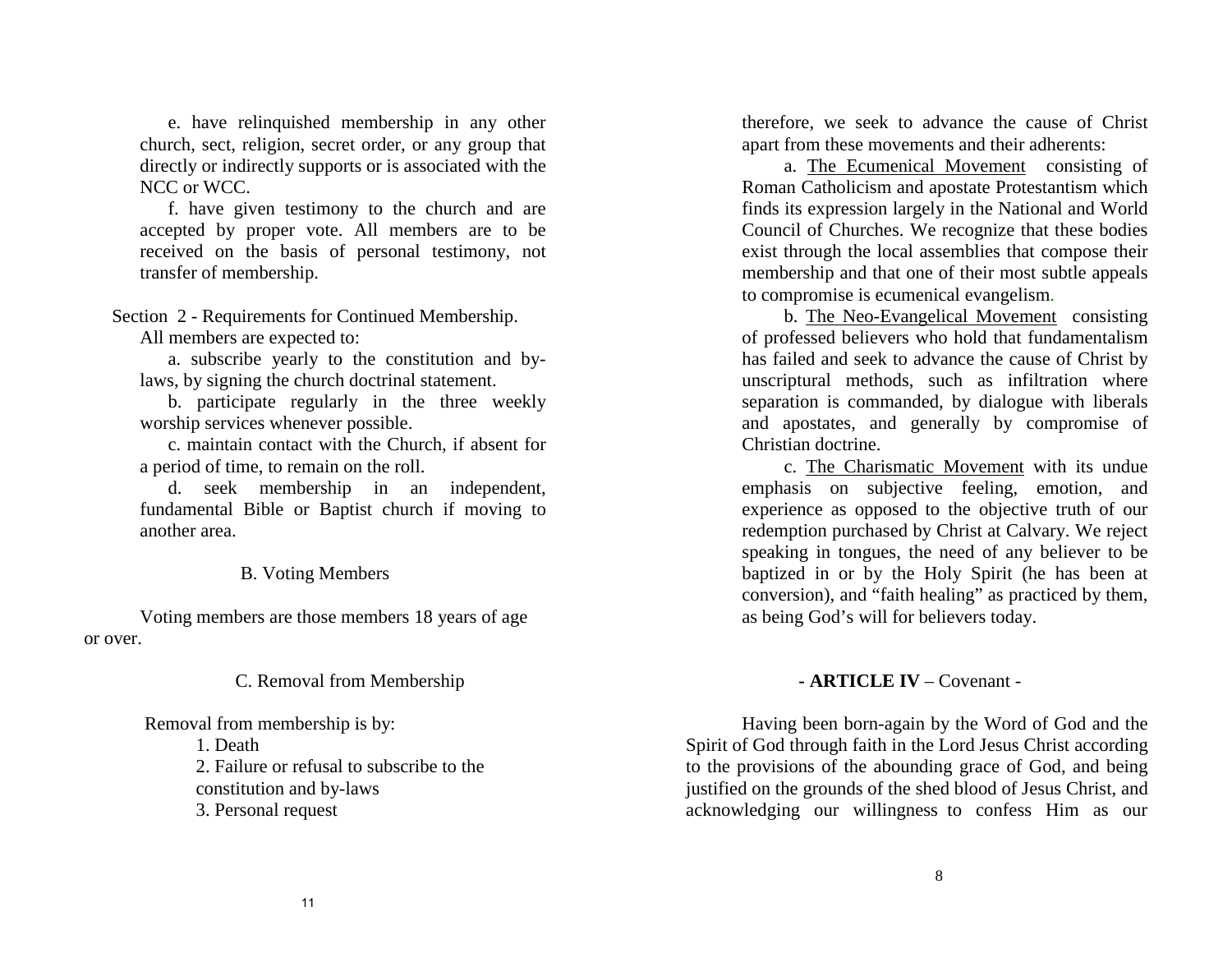e. have relinquished membership in any other church, sect, religion, secret order, or any group that directly or indirectly supports or is associated with the NCC or WCC.

 f. have given testimony to the church and are accepted by proper vote. All members are to be received on the basis of personal testimony, not transfer of membership.

Section 2 - Requirements for Continued Membership.

All members are expected to:

a. subscribe yearly to the constitution and bylaws, by signing the church doctrinal statement.

b. participate regularly in the three weekly worship services whenever possible.

c. maintain contact with the Church, if absent for a period of time, to remain on the roll.

d. seek membership in an independent, fundamental Bible or Baptist church if moving to another area.

## B. Voting Members

Voting members are those members 18 years of age or over.

C. Removal from Membership

## Removal from membership is by:

- 1. Death
- 2. Failure or refusal to subscribe to the
- constitution and by-laws
- 3. Personal request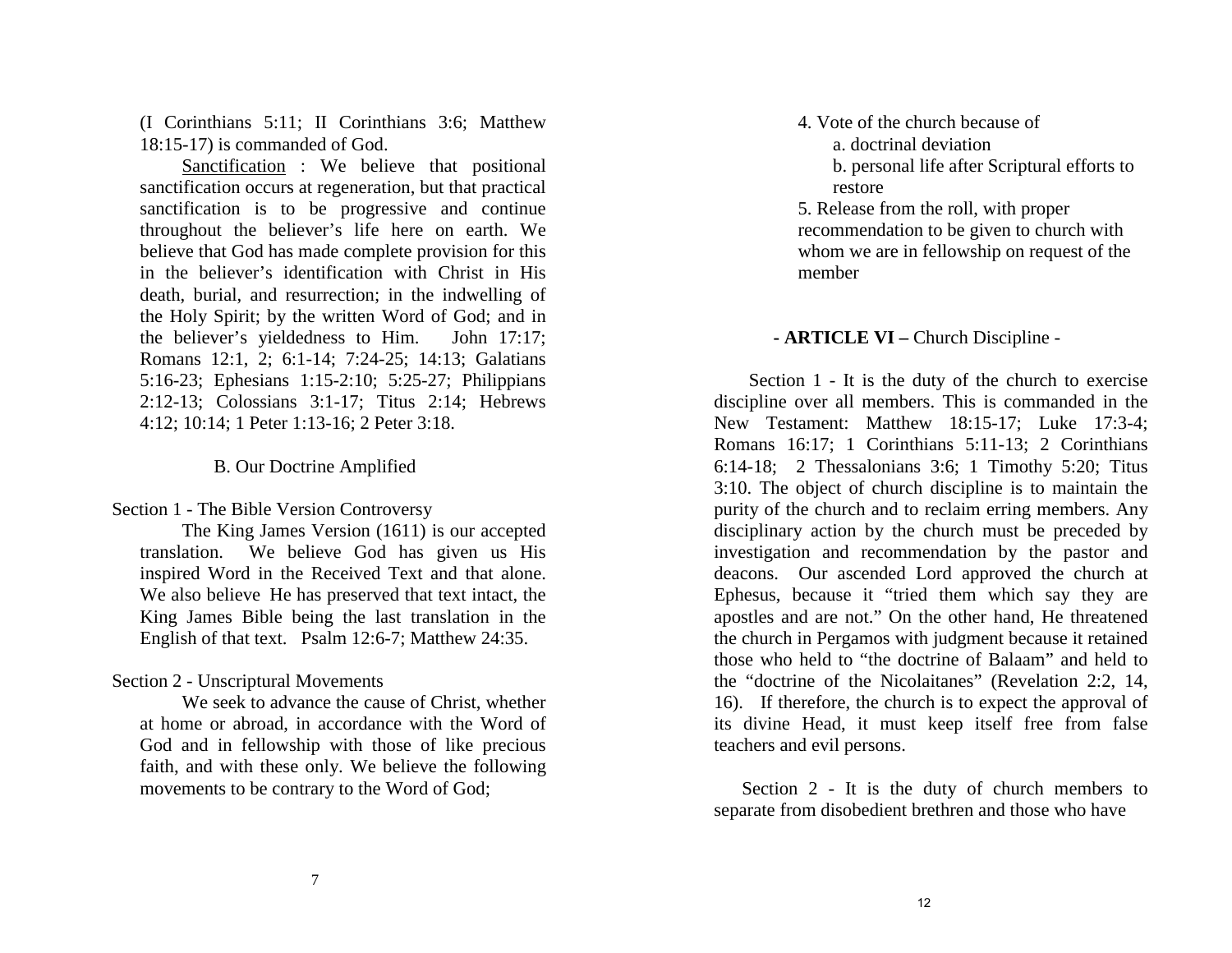- 4. Vote of the church because of
	- a. doctrinal deviation
	- b. personal life after Scriptural efforts to restore

5. Release from the roll, with proper recommendation to be given to church with whom we are in fellowship on request of the member

## **- ARTICLE VI –** Church Discipline -

 Section 1 - It is the duty of the church to exercise discipline over all members. This is commanded in the New Testament: Matthew 18:15-17; Luke 17:3-4; Romans 16:17; 1 Corinthians 5:11-13; 2 Corinthians 6:14-18; 2 Thessalonians 3:6; 1 Timothy 5:20; Titus 3:10. The object of church discipline is to maintain the purity of the church and to reclaim erring members. Any disciplinary action by the church must be preceded by investigation and recommendation by the pastor and deacons. Our ascended Lord approved the church at Ephesus, because it "tried them which say they are apostles and are not." On the other hand, He threatened the church in Pergamos with judgment because it retained those who held to "the doctrine of Balaam" and held to the "doctrine of the Nicolaitanes" (Revelation 2:2, 14, 16). If therefore, the church is to expect the approval of its divine Head, it must keep itself free from false teachers and evil persons.

Section 2 - It is the duty of church members to separate from disobedient brethren and those who have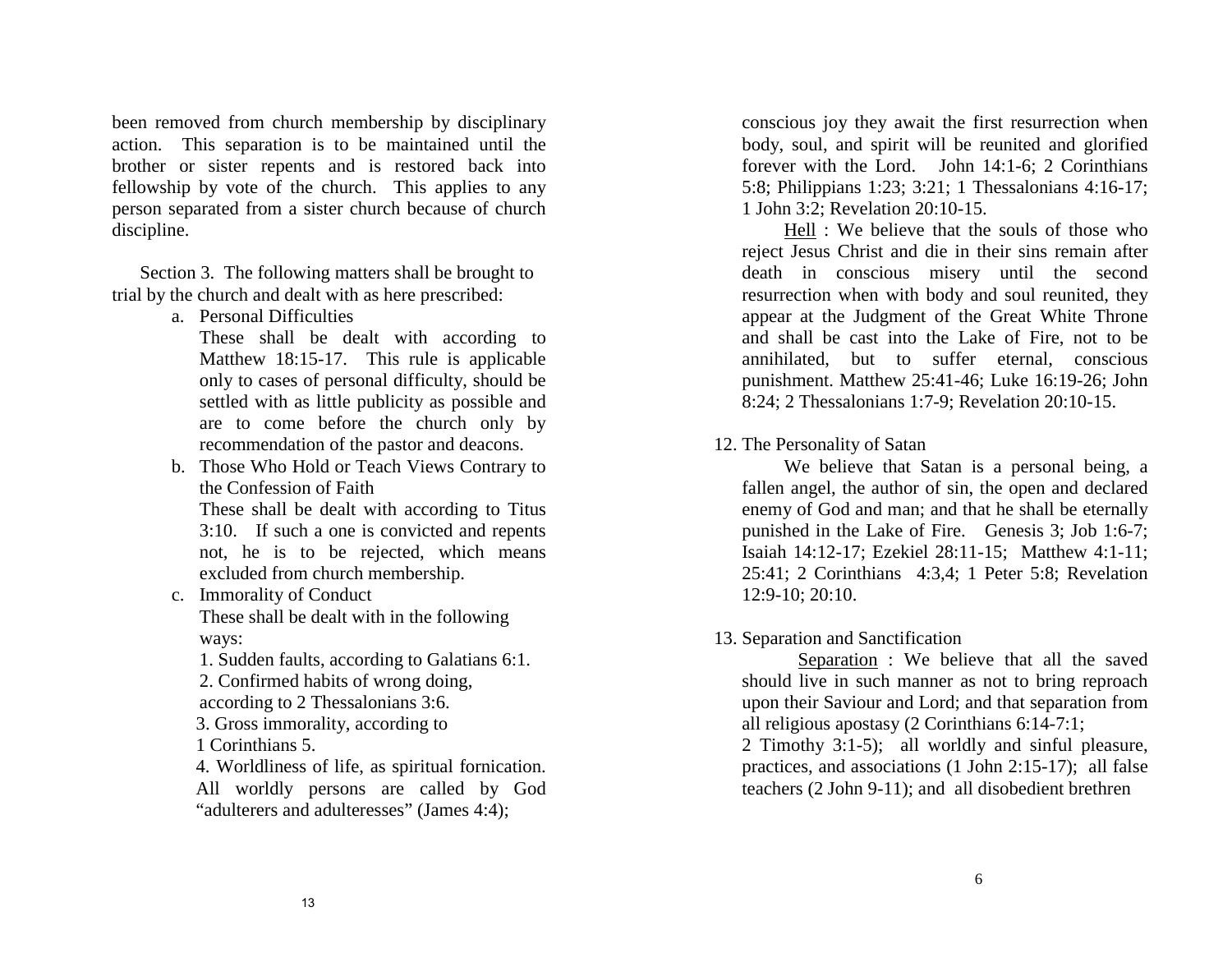been removed from church membership by disciplinary action. This separation is to be maintained until the brother or sister repents and is restored back into fellowship by vote of the church. This applies to any person separated from a sister church because of church discipline.

 Section 3. The following matters shall be brought to trial by the church and dealt with as here prescribed:

a. Personal Difficulties

These shall be dealt with according to Matthew 18:15-17. This rule is applicable only to cases of personal difficulty, should be settled with as little publicity as possible and are to come before the church only by recommendation of the pastor and deacons.

b. Those Who Hold or Teach Views Contrary to the Confession of Faith

These shall be dealt with according to Titus 3:10. If such a one is convicted and repents not, he is to be rejected, which means excluded from church membership.

- c. Immorality of Conduct These shall be dealt with in the following ways:
	- 1. Sudden faults, according to Galatians 6:1.

2. Confirmed habits of wrong doing,

according to 2 Thessalonians 3:6.

3. Gross immorality, according to

1 Corinthians 5.

4. Worldliness of life, as spiritual fornication. All worldly persons are called by God "adulterers and adulteresses" (James 4:4);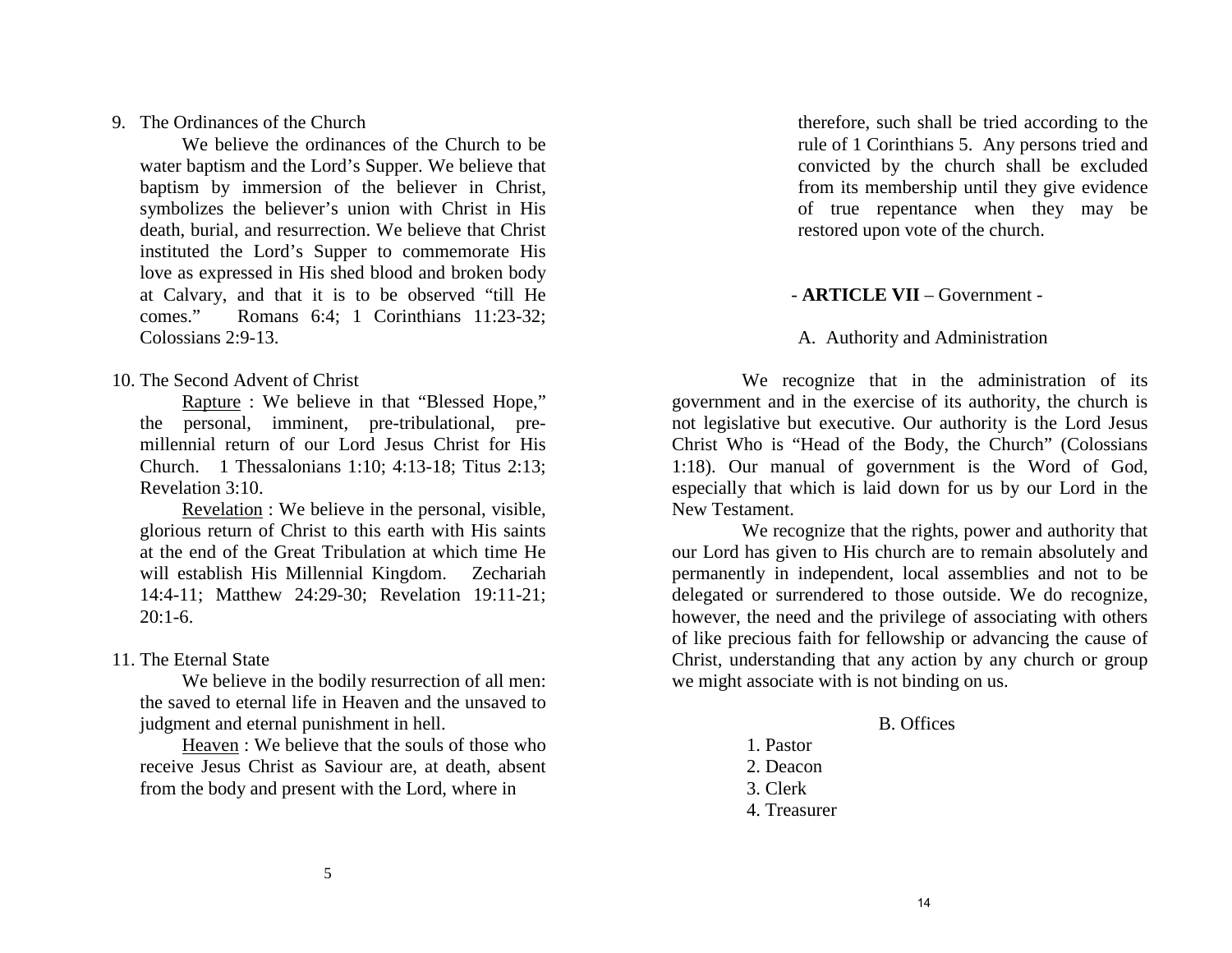therefore, such shall be tried according to the rule of 1 Corinthians 5. Any persons tried and convicted by the church shall be excluded from its membership until they give evidence of true repentance when they may be restored upon vote of the church.

## - **ARTICLE VII** – Government -

A. Authority and Administration

 We recognize that in the administration of its government and in the exercise of its authority, the church is not legislative but executive. Our authority is the Lord Jesus Christ Who is "Head of the Body, the Church" (Colossians 1:18). Our manual of government is the Word of God, especially that which is laid down for us by our Lord in the New Testament.

 We recognize that the rights, power and authority that our Lord has given to His church are to remain absolutely and permanently in independent, local assemblies and not to be delegated or surrendered to those outside. We do recognize, however, the need and the privilege of associating with others of like precious faith for fellowship or advancing the cause of Christ, understanding that any action by any church or group we might associate with is not binding on us.

#### B. Offices

- 1. Pastor
- 2. Deacon
- 3. Clerk
- 4. Treasurer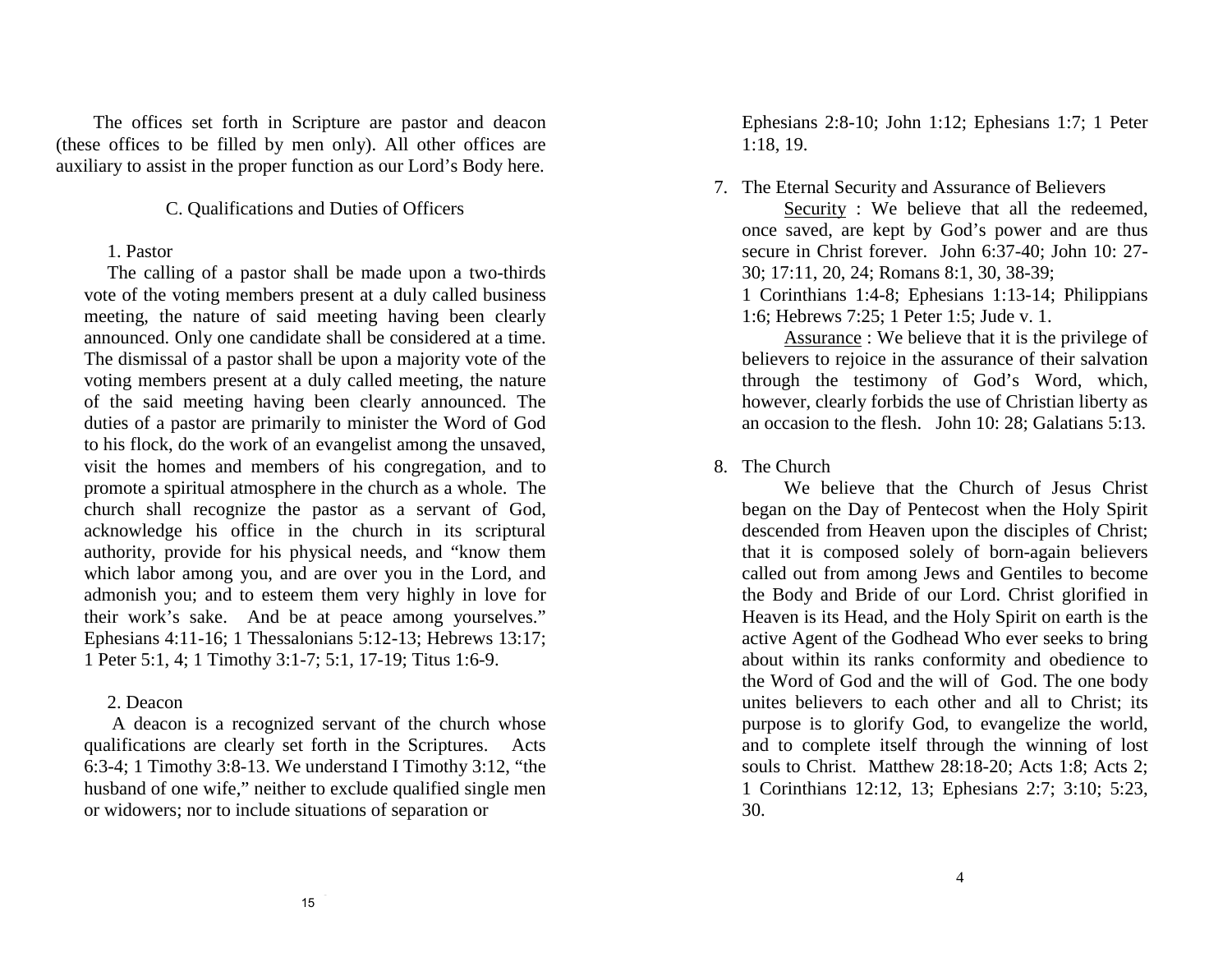The offices set forth in Scripture are pastor and deacon (these offices to be filled by men only). All other offices are auxiliary to assist in the proper function as our Lord's Body here.

## C. Qualifications and Duties of Officers

## 1. Pastor

 The calling of a pastor shall be made upon a two-thirds vote of the voting members present at a duly called business meeting, the nature of said meeting having been clearly announced. Only one candidate shall be considered at a time. The dismissal of a pastor shall be upon a majority vote of the voting members present at a duly called meeting, the nature of the said meeting having been clearly announced. The duties of a pastor are primarily to minister the Word of God to his flock, do the work of an evangelist among the unsaved, visit the homes and members of his congregation, and to promote a spiritual atmosphere in the church as a whole. The church shall recognize the pastor as a servant of God, acknowledge his office in the church in its scriptural authority, provide for his physical needs, and "know them which labor among you, and are over you in the Lord, and admonish you; and to esteem them very highly in love for their work's sake. And be at peace among yourselves." Ephesians 4:11-16; 1 Thessalonians 5:12-13; Hebrews 13:17; 1 Peter 5:1, 4; 1 Timothy 3:1-7; 5:1, 17-19; Titus 1:6-9.

#### 2. Deacon

A deacon is a recognized servant of the church whose qualifications are clearly set forth in the Scriptures. Acts 6:3-4; 1 Timothy 3:8-13. We understand I Timothy 3:12, "the husband of one wife," neither to exclude qualified single men or widowers; nor to include situations of separation or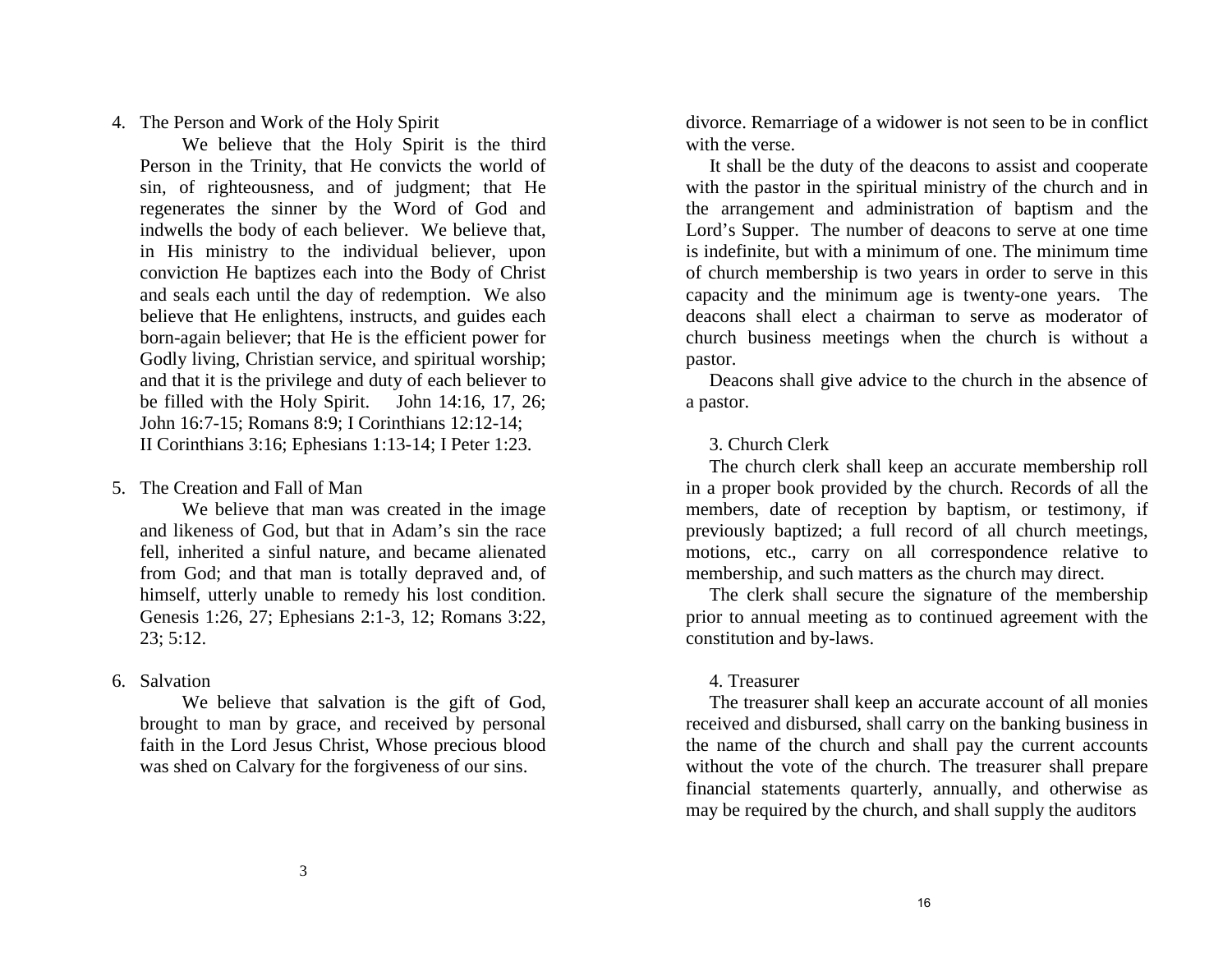divorce. Remarriage of a widower is not seen to be in conflict with the verse.

 It shall be the duty of the deacons to assist and cooperate with the pastor in the spiritual ministry of the church and in the arrangement and administration of baptism and the Lord's Supper. The number of deacons to serve at one time is indefinite, but with a minimum of one. The minimum time of church membership is two years in order to serve in this capacity and the minimum age is twenty-one years. The deacons shall elect a chairman to serve as moderator of church business meetings when the church is without a pastor.

 Deacons shall give advice to the church in the absence of a pastor.

3. Church Clerk

 The church clerk shall keep an accurate membership roll in a proper book provided by the church. Records of all the members, date of reception by baptism, or testimony, if previously baptized; a full record of all church meetings, motions, etc., carry on all correspondence relative to membership, and such matters as the church may direct.

 The clerk shall secure the signature of the membership prior to annual meeting as to continued agreement with the constitution and by-laws.

#### 4. Treasurer

 The treasurer shall keep an accurate account of all monies received and disbursed, shall carry on the banking business in the name of the church and shall pay the current accounts without the vote of the church. The treasurer shall prepare financial statements quarterly, annually, and otherwise as may be required by the church, and shall supply the auditors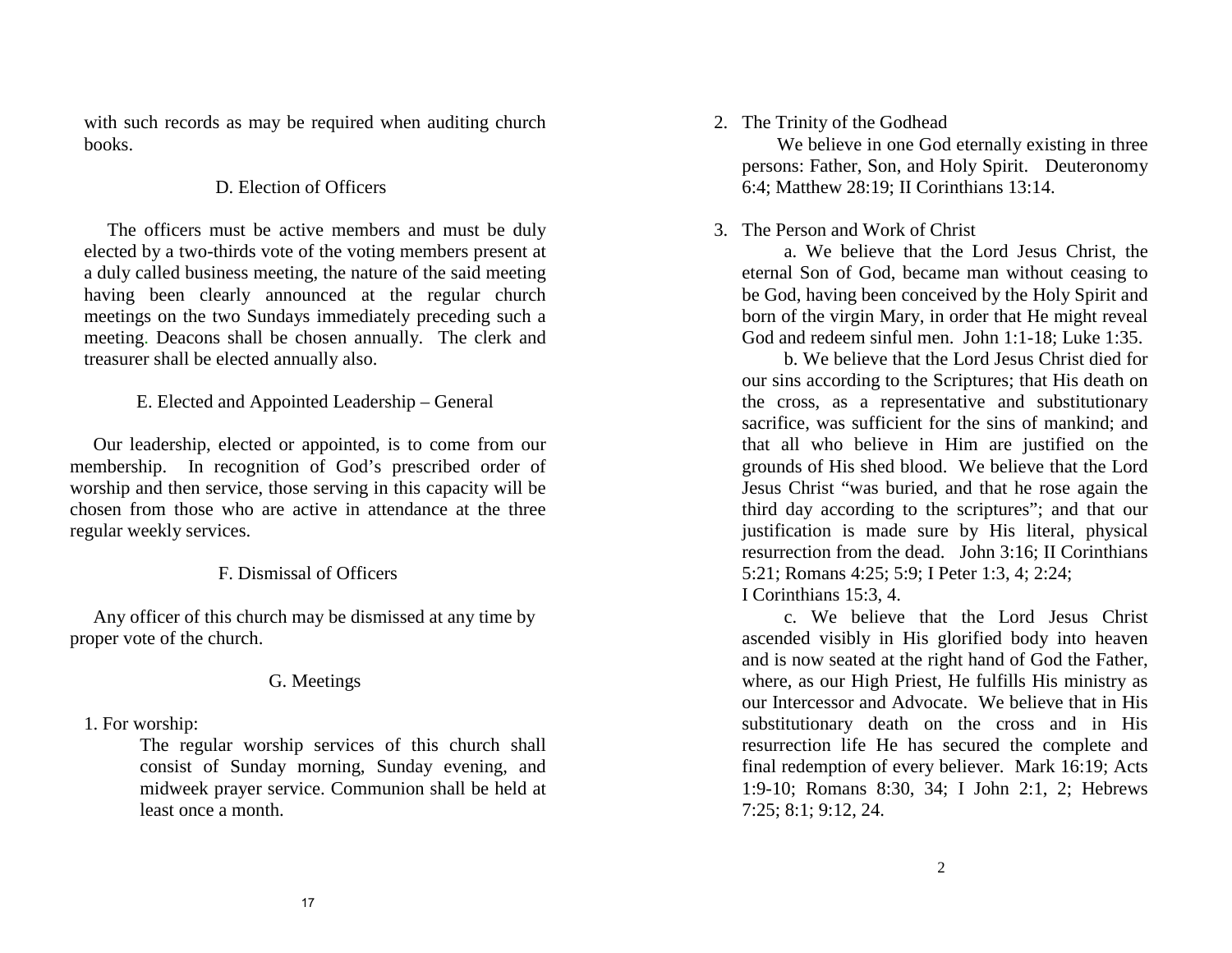with such records as may be required when auditing church books.

## D. Election of Officers

 The officers must be active members and must be duly elected by a two-thirds vote of the voting members present at a duly called business meeting, the nature of the said meeting having been clearly announced at the regular church meetings on the two Sundays immediately preceding such a meeting. Deacons shall be chosen annually. The clerk and treasurer shall be elected annually also.

## E. Elected and Appointed Leadership – General

 Our leadership, elected or appointed, is to come from our membership. In recognition of God's prescribed order of worship and then service, those serving in this capacity will be chosen from those who are active in attendance at the three regular weekly services.

# F. Dismissal of Officers

 Any officer of this church may be dismissed at any time by proper vote of the church.

## G. Meetings

1. For worship:

The regular worship services of this church shall consist of Sunday morning, Sunday evening, and midweek prayer service. Communion shall be held at least once a month.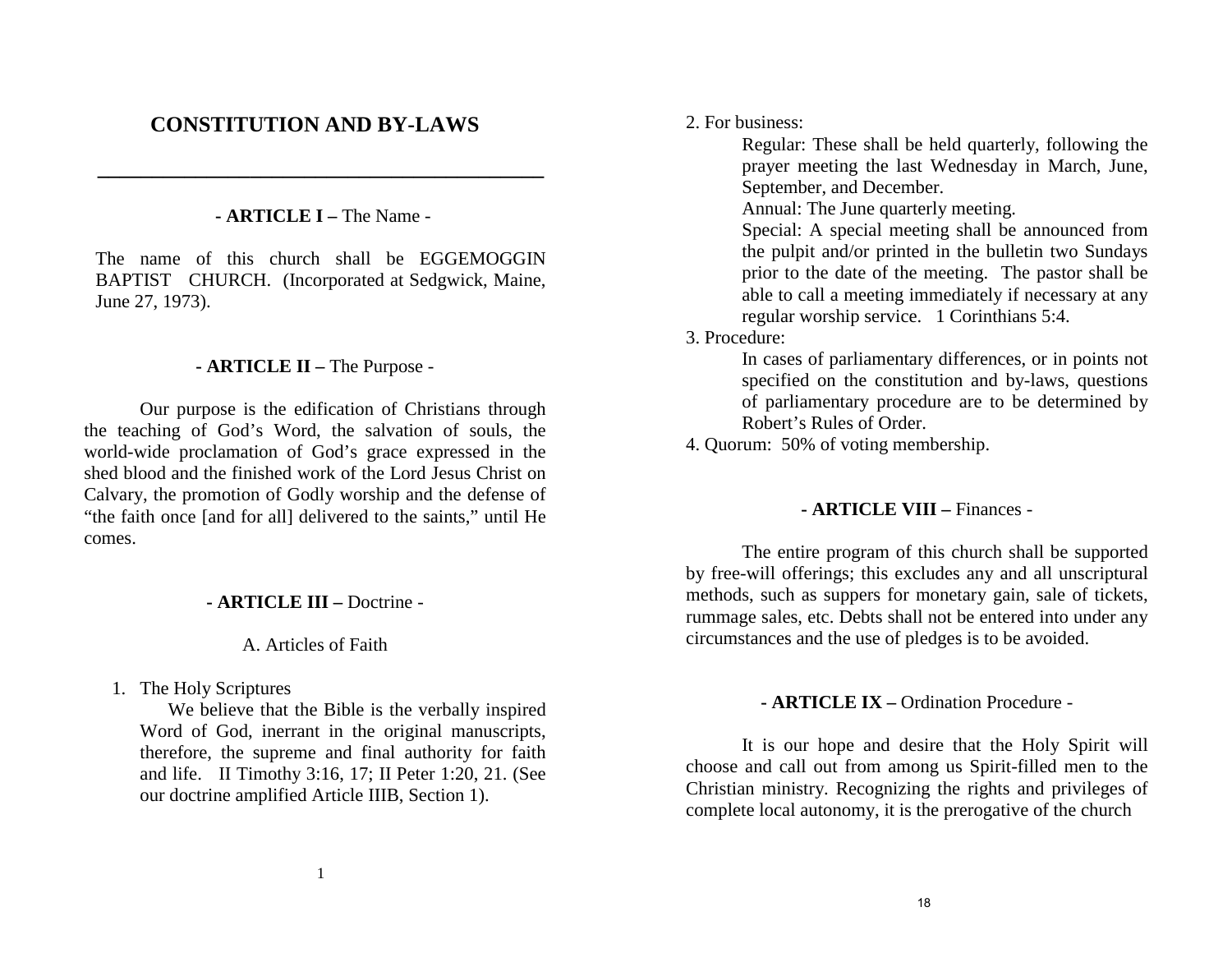2. For business:

Regular: These shall be held quarterly, following the prayer meeting the last Wednesday in March, June, September, and December.

Annual: The June quarterly meeting.

Special: A special meeting shall be announced from the pulpit and/or printed in the bulletin two Sundays prior to the date of the meeting. The pastor shall be able to call a meeting immediately if necessary at any regular worship service. 1 Corinthians 5:4.

3. Procedure:

In cases of parliamentary differences, or in points not specified on the constitution and by-laws, questions of parliamentary procedure are to be determined by Robert's Rules of Order.

4. Quorum: 50% of voting membership.

## **- ARTICLE VIII –** Finances -

The entire program of this church shall be supported by free-will offerings; this excludes any and all unscriptural methods, such as suppers for monetary gain, sale of tickets, rummage sales, etc. Debts shall not be entered into under any circumstances and the use of pledges is to be avoided.

## **- ARTICLE IX –** Ordination Procedure -

It is our hope and desire that the Holy Spirit will choose and call out from among us Spirit-filled men to the Christian ministry. Recognizing the rights and privileges of complete local autonomy, it is the prerogative of the church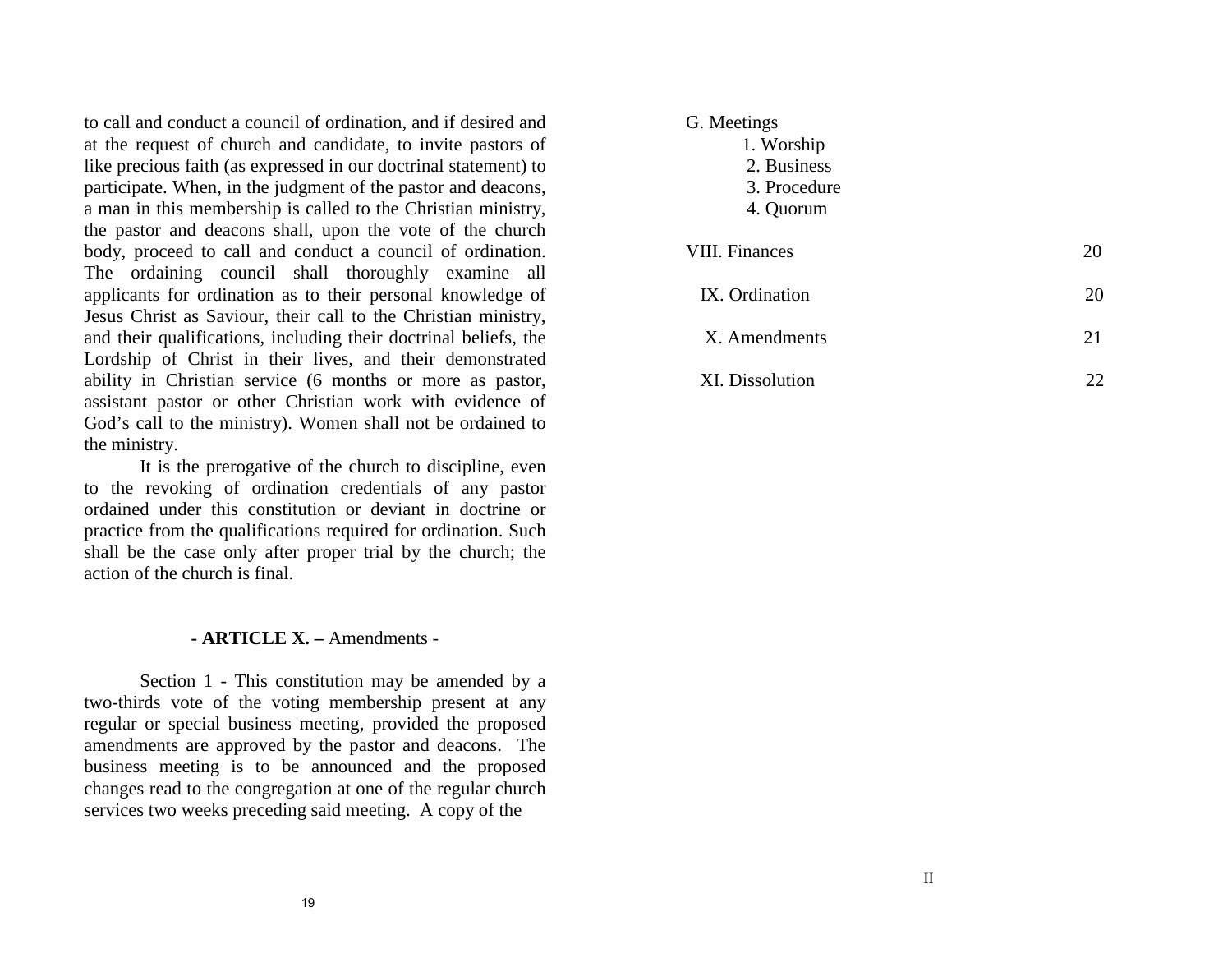to call and conduct a council of ordination, and if desired and at the request of church and candidate, to invite pastors of like precious faith (as expressed in our doctrinal statement) to participate. When, in the judgment of the pastor and deacons, a man in this membership is called to the Christian ministry, the pastor and deacons shall, upon the vote of the church body, proceed to call and conduct a council of ordination. The ordaining council shall thoroughly examine all applicants for ordination as to their personal knowledge of Jesus Christ as Saviour, their call to the Christian ministry, and their qualifications, including their doctrinal beliefs, the Lordship of Christ in their lives, and their demonstrated ability in Christian service (6 months or more as pastor, assistant pastor or other Christian work with evidence of God's call to the ministry). Women shall not be ordained to the ministry.

It is the prerogative of the church to discipline, even to the revoking of ordination credentials of any pastor ordained under this constitution or deviant in doctrine or practice from the qualifications required for ordination. Such shall be the case only after proper trial by the church; the action of the church is final.

## **- ARTICLE X. –** Amendments -

Section 1 - This constitution may be amended by a two-thirds vote of the voting membership present at any regular or special business meeting, provided the proposed amendments are approved by the pastor and deacons. The business meeting is to be announced and the proposed changes read to the congregation at one of the regular church services two weeks preceding said meeting. A copy of the